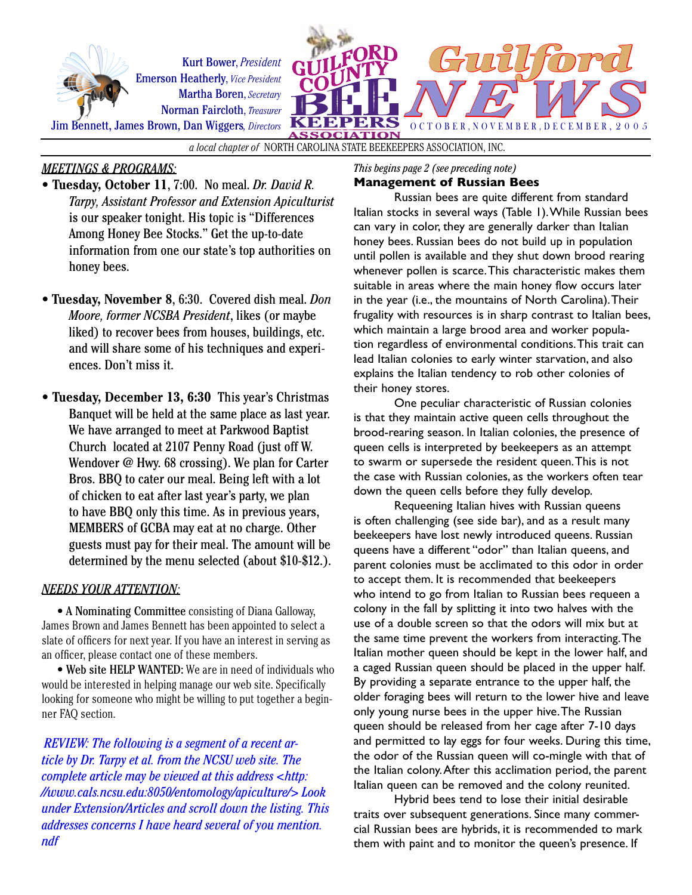



*a local chapter of* NORTH CAROLINA STATE BEEKEEPERS ASSOCIATION, INC.

# *MEETINGS & PROGRAMS:*

- **Tuesday, October 11**, 7:00. No meal. *Dr. David R. Tarpy, Assistant Professor and Extension Apiculturist*  is our speaker tonight. His topic is "Differences Among Honey Bee Stocks." Get the up-to-date information from one our state's top authorities on honey bees.
- **Tuesday, November 8**, 6:30. Covered dish meal. *Don Moore, former NCSBA President*, likes (or maybe liked) to recover bees from houses, buildings, etc. and will share some of his techniques and experiences. Don't miss it.
- **Tuesday, December 13, 6:30** This year's Christmas Banquet will be held at the same place as last year. We have arranged to meet at Parkwood Baptist Church located at 2107 Penny Road (just off W. Wendover @ Hwy. 68 crossing). We plan for Carter Bros. BBQ to cater our meal. Being left with a lot of chicken to eat after last year's party, we plan to have BBQ only this time. As in previous years, MEMBERS of GCBA may eat at no charge. Other guests must pay for their meal. The amount will be determined by the menu selected (about \$10-\$12.).

### *NEEDS YOUR ATTENTION:*

 • A Nominating Committee consisting of Diana Galloway, James Brown and James Bennett has been appointed to select a slate of officers for next year. If you have an interest in serving as an officer, please contact one of these members.

 • Web site HELP WANTED: We are in need of individuals who would be interested in helping manage our web site. Specifically looking for someone who might be willing to put together a beginner FAQ section.

*REVIEW: The following is a segment of a recent article by Dr. Tarpy et al. from the NCSU web site. The complete article may be viewed at this address <http: //www.cals.ncsu.edu:8050/entomology/apiculture/> Look under Extension/Articles and scroll down the listing. This addresses concerns I have heard several of you mention. ndf* 

*This begins page 2 (see preceding note)*

#### **Management of Russian Bees**

Russian bees are quite different from standard Italian stocks in several ways (Table 1). While Russian bees can vary in color, they are generally darker than Italian honey bees. Russian bees do not build up in population until pollen is available and they shut down brood rearing whenever pollen is scarce. This characteristic makes them suitable in areas where the main honey flow occurs later in the year (i.e., the mountains of North Carolina). Their frugality with resources is in sharp contrast to Italian bees, which maintain a large brood area and worker population regardless of environmental conditions. This trait can lead Italian colonies to early winter starvation, and also explains the Italian tendency to rob other colonies of their honey stores.

One peculiar characteristic of Russian colonies is that they maintain active queen cells throughout the brood-rearing season. In Italian colonies, the presence of queen cells is interpreted by beekeepers as an attempt to swarm or supersede the resident queen. This is not the case with Russian colonies, as the workers often tear down the queen cells before they fully develop.

Requeening Italian hives with Russian queens is often challenging (see side bar), and as a result many beekeepers have lost newly introduced queens. Russian queens have a different "odor" than Italian queens, and parent colonies must be acclimated to this odor in order to accept them. It is recommended that beekeepers who intend to go from Italian to Russian bees requeen a colony in the fall by splitting it into two halves with the use of a double screen so that the odors will mix but at the same time prevent the workers from interacting. The Italian mother queen should be kept in the lower half, and a caged Russian queen should be placed in the upper half. By providing a separate entrance to the upper half, the older foraging bees will return to the lower hive and leave only young nurse bees in the upper hive. The Russian queen should be released from her cage after 7-10 days and permitted to lay eggs for four weeks. During this time, the odor of the Russian queen will co-mingle with that of the Italian colony. After this acclimation period, the parent Italian queen can be removed and the colony reunited.

Hybrid bees tend to lose their initial desirable traits over subsequent generations. Since many commercial Russian bees are hybrids, it is recommended to mark them with paint and to monitor the queen's presence. If